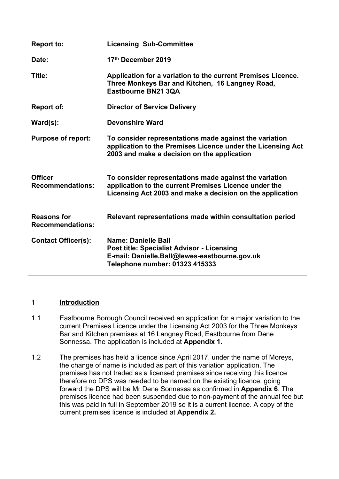| <b>Report to:</b>                             | <b>Licensing Sub-Committee</b>                                                                                                                                               |
|-----------------------------------------------|------------------------------------------------------------------------------------------------------------------------------------------------------------------------------|
| Date:                                         | 17th December 2019                                                                                                                                                           |
| Title:                                        | Application for a variation to the current Premises Licence.<br>Three Monkeys Bar and Kitchen, 16 Langney Road,<br>Eastbourne BN21 3QA                                       |
| Report of:                                    | <b>Director of Service Delivery</b>                                                                                                                                          |
| $\textsf{Ward}(s)$ :                          | <b>Devonshire Ward</b>                                                                                                                                                       |
| <b>Purpose of report:</b>                     | To consider representations made against the variation<br>application to the Premises Licence under the Licensing Act<br>2003 and make a decision on the application         |
| <b>Officer</b><br><b>Recommendations:</b>     | To consider representations made against the variation<br>application to the current Premises Licence under the<br>Licensing Act 2003 and make a decision on the application |
| <b>Reasons for</b><br><b>Recommendations:</b> | Relevant representations made within consultation period                                                                                                                     |
| <b>Contact Officer(s):</b>                    | Name: Danielle Ball<br><b>Post title: Specialist Advisor - Licensing</b><br>E-mail: Danielle.Ball@lewes-eastbourne.gov.uk<br>Telephone number: 01323 415333                  |

## 1 **Introduction**

- 1.1 Eastbourne Borough Council received an application for a major variation to the current Premises Licence under the Licensing Act 2003 for the Three Monkeys Bar and Kitchen premises at 16 Langney Road, Eastbourne from Dene Sonnessa. The application is included at **Appendix 1***.*
- 1.2 The premises has held a licence since April 2017, under the name of Moreys, the change of name is included as part of this variation application. The premises has not traded as a licensed premises since receiving this licence therefore no DPS was needed to be named on the existing licence, going forward the DPS will be Mr Dene Sonnessa as confirmed in **Appendix 6**. The premises licence had been suspended due to non-payment of the annual fee but this was paid in full in September 2019 so it is a current licence. A copy of the current premises licence is included at **Appendix 2.**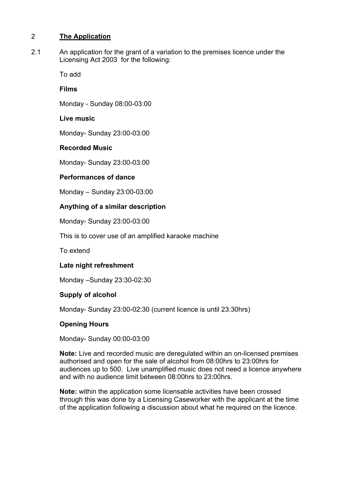## 2 **The Application**

2.1 An application for the grant of a variation to the premises licence under the Licensing Act 2003 for the following:

To add

# **Films**

Monday - Sunday 08:00-03:00

# **Live music**

Monday- Sunday 23:00-03:00

# **Recorded Music**

Monday- Sunday 23:00-03:00

# **Performances of dance**

Monday – Sunday 23:00-03:00

# **Anything of a similar description**

Monday- Sunday 23:00-03:00

This is to cover use of an amplified karaoke machine

To extend

# **Late night refreshment**

Monday –Sunday 23:30-02:30

# **Supply of alcohol**

Monday- Sunday 23:00-02:30 (current licence is until 23:30hrs)

# **Opening Hours**

Monday- Sunday 00:00-03:00

**Note:** Live and recorded music are deregulated within an on-licensed premises authorised and open for the sale of alcohol from 08:00hrs to 23:00hrs for audiences up to 500. Live unamplified music does not need a licence anywhere and with no audience limit between 08:00hrs to 23:00hrs.

**Note:** within the application some licensable activities have been crossed through this was done by a Licensing Caseworker with the applicant at the time of the application following a discussion about what he required on the licence.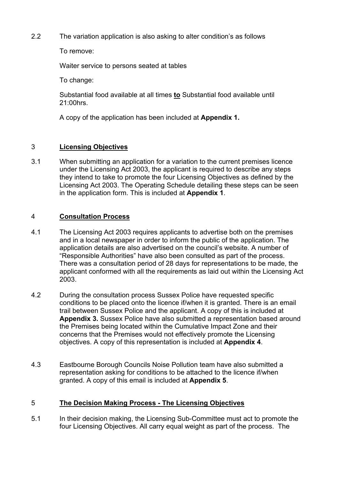2.2 The variation application is also asking to alter condition's as follows

To remove:

Waiter service to persons seated at tables

To change:

Substantial food available at all times **to** Substantial food available until 21:00hrs.

A copy of the application has been included at **Appendix 1.**

# 3 **Licensing Objectives**

3.1 When submitting an application for a variation to the current premises licence under the Licensing Act 2003, the applicant is required to describe any steps they intend to take to promote the four Licensing Objectives as defined by the Licensing Act 2003. The Operating Schedule detailing these steps can be seen in the application form. This is included at **Appendix 1**.

# 4 **Consultation Process**

- 4.1 The Licensing Act 2003 requires applicants to advertise both on the premises and in a local newspaper in order to inform the public of the application. The application details are also advertised on the council's website. A number of "Responsible Authorities" have also been consulted as part of the process. There was a consultation period of 28 days for representations to be made, the applicant conformed with all the requirements as laid out within the Licensing Act 2003.
- 4.2 During the consultation process Sussex Police have requested specific conditions to be placed onto the licence if/when it is granted. There is an email trail between Sussex Police and the applicant. A copy of this is included at **Appendix 3.** Sussex Police have also submitted a representation based around the Premises being located within the Cumulative Impact Zone and their concerns that the Premises would not effectively promote the Licensing objectives. A copy of this representation is included at **Appendix 4**.
- 4.3 Eastbourne Borough Councils Noise Pollution team have also submitted a representation asking for conditions to be attached to the licence if/when granted. A copy of this email is included at **Appendix 5**.

## 5 **The Decision Making Process - The Licensing Objectives**

5.1 In their decision making, the Licensing Sub-Committee must act to promote the four Licensing Objectives. All carry equal weight as part of the process. The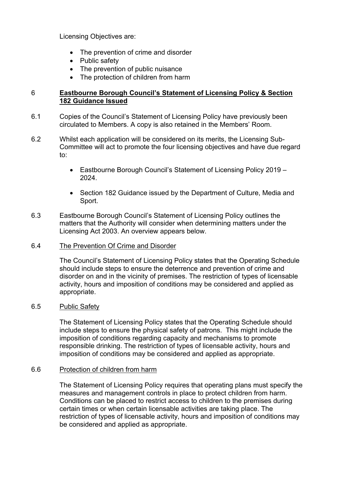Licensing Objectives are:

- The prevention of crime and disorder
- Public safety
- The prevention of public nuisance
- The protection of children from harm

### 6 **Eastbourne Borough Council's Statement of Licensing Policy & Section 182 Guidance Issued**

- 6.1 Copies of the Council's Statement of Licensing Policy have previously been circulated to Members. A copy is also retained in the Members' Room.
- 6.2 Whilst each application will be considered on its merits, the Licensing Sub-Committee will act to promote the four licensing objectives and have due regard to:
	- Eastbourne Borough Council's Statement of Licensing Policy 2019 2024.
	- Section 182 Guidance issued by the Department of Culture, Media and Sport.
- 6.3 Eastbourne Borough Council's Statement of Licensing Policy outlines the matters that the Authority will consider when determining matters under the Licensing Act 2003. An overview appears below.

### 6.4 The Prevention Of Crime and Disorder

The Council's Statement of Licensing Policy states that the Operating Schedule should include steps to ensure the deterrence and prevention of crime and disorder on and in the vicinity of premises. The restriction of types of licensable activity, hours and imposition of conditions may be considered and applied as appropriate.

### 6.5 Public Safety

The Statement of Licensing Policy states that the Operating Schedule should include steps to ensure the physical safety of patrons. This might include the imposition of conditions regarding capacity and mechanisms to promote responsible drinking. The restriction of types of licensable activity, hours and imposition of conditions may be considered and applied as appropriate.

## 6.6 Protection of children from harm

The Statement of Licensing Policy requires that operating plans must specify the measures and management controls in place to protect children from harm. Conditions can be placed to restrict access to children to the premises during certain times or when certain licensable activities are taking place. The restriction of types of licensable activity, hours and imposition of conditions may be considered and applied as appropriate.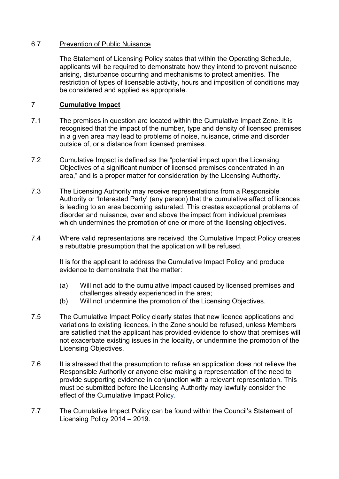### 6.7 Prevention of Public Nuisance

The Statement of Licensing Policy states that within the Operating Schedule, applicants will be required to demonstrate how they intend to prevent nuisance arising, disturbance occurring and mechanisms to protect amenities. The restriction of types of licensable activity, hours and imposition of conditions may be considered and applied as appropriate.

## 7 **Cumulative Impact**

- 7.1 The premises in question are located within the Cumulative Impact Zone. It is recognised that the impact of the number, type and density of licensed premises in a given area may lead to problems of noise, nuisance, crime and disorder outside of, or a distance from licensed premises.
- 7.2 Cumulative Impact is defined as the "potential impact upon the Licensing Objectives of a significant number of licensed premises concentrated in an area," and is a proper matter for consideration by the Licensing Authority.
- 7.3 The Licensing Authority may receive representations from a Responsible Authority or 'Interested Party' (any person) that the cumulative affect of licences is leading to an area becoming saturated. This creates exceptional problems of disorder and nuisance, over and above the impact from individual premises which undermines the promotion of one or more of the licensing objectives.
- 7.4 Where valid representations are received, the Cumulative Impact Policy creates a rebuttable presumption that the application will be refused.

It is for the applicant to address the Cumulative Impact Policy and produce evidence to demonstrate that the matter:

- (a) Will not add to the cumulative impact caused by licensed premises and challenges already experienced in the area;
- (b) Will not undermine the promotion of the Licensing Objectives.
- 7.5 The Cumulative Impact Policy clearly states that new licence applications and variations to existing licences, in the Zone should be refused, unless Members are satisfied that the applicant has provided evidence to show that premises will not exacerbate existing issues in the locality, or undermine the promotion of the Licensing Objectives.
- 7.6 It is stressed that the presumption to refuse an application does not relieve the Responsible Authority or anyone else making a representation of the need to provide supporting evidence in conjunction with a relevant representation. This must be submitted before the Licensing Authority may lawfully consider the effect of the Cumulative Impact Policy.
- 7.7 The Cumulative Impact Policy can be found within the Council's Statement of Licensing Policy 2014 – 2019.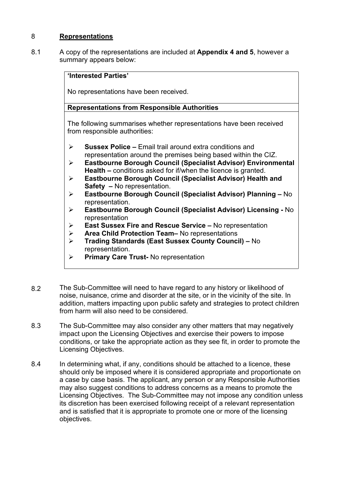## 8 **Representations**

8.1 A copy of the representations are included at **Appendix 4 and 5**, however a summary appears below:

## **'Interested Parties'**

No representations have been received.

## **Representations from Responsible Authorities**

The following summarises whether representations have been received from responsible authorities:

- **Sussex Police –** Email trail around extra conditions and representation around the premises being based within the CIZ.
- **Eastbourne Borough Council (Specialist Advisor) Environmental Health –** conditions asked for if/when the licence is granted.
- **Eastbourne Borough Council (Specialist Advisor) Health and Safety –** No representation.
- **Eastbourne Borough Council (Specialist Advisor) Planning –** No representation.
- **Eastbourne Borough Council (Specialist Advisor) Licensing -** No representation
- **East Sussex Fire and Rescue Service –** No representation
- **Area Child Protection Team–** No representations
- **Trading Standards (East Sussex County Council) –** No representation.
- **Primary Care Trust-** No representation
- 8.2 The Sub-Committee will need to have regard to any history or likelihood of noise, nuisance, crime and disorder at the site, or in the vicinity of the site. In addition, matters impacting upon public safety and strategies to protect children from harm will also need to be considered.
- 8.3 The Sub-Committee may also consider any other matters that may negatively impact upon the Licensing Objectives and exercise their powers to impose conditions, or take the appropriate action as they see fit, in order to promote the Licensing Objectives.
- 8.4 In determining what, if any, conditions should be attached to a licence, these should only be imposed where it is considered appropriate and proportionate on a case by case basis. The applicant, any person or any Responsible Authorities may also suggest conditions to address concerns as a means to promote the Licensing Objectives. The Sub-Committee may not impose any condition unless its discretion has been exercised following receipt of a relevant representation and is satisfied that it is appropriate to promote one or more of the licensing objectives.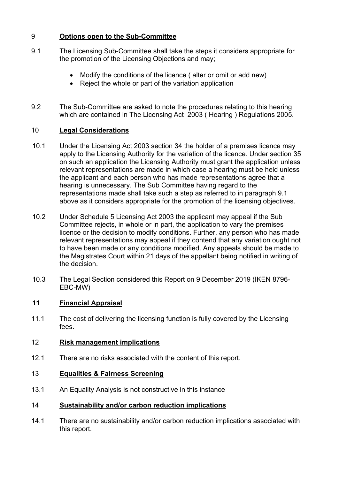# 9 **Options open to the Sub-Committee**

- 9.1 The Licensing Sub-Committee shall take the steps it considers appropriate for the promotion of the Licensing Objections and may;
	- Modify the conditions of the licence ( alter or omit or add new)
	- Reject the whole or part of the variation application
- 9.2 The Sub-Committee are asked to note the procedures relating to this hearing which are contained in The Licensing Act 2003 ( Hearing ) Regulations 2005.

## 10 **Legal Considerations**

- 10.1 Under the Licensing Act 2003 section 34 the holder of a premises licence may apply to the Licensing Authority for the variation of the licence. Under section 35 on such an application the Licensing Authority must grant the application unless relevant representations are made in which case a hearing must be held unless the applicant and each person who has made representations agree that a hearing is unnecessary. The Sub Committee having regard to the representations made shall take such a step as referred to in paragraph 9.1 above as it considers appropriate for the promotion of the licensing objectives.
- 10.2 Under Schedule 5 Licensing Act 2003 the applicant may appeal if the Sub Committee rejects, in whole or in part, the application to vary the premises licence or the decision to modify conditions. Further, any person who has made relevant representations may appeal if they contend that any variation ought not to have been made or any conditions modified. Any appeals should be made to the Magistrates Court within 21 days of the appellant being notified in writing of the decision.
- 10.3 The Legal Section considered this Report on 9 December 2019 (IKEN 8796- EBC-MW)

# **11 Financial Appraisal**

11.1 The cost of delivering the licensing function is fully covered by the Licensing fees.

#### 12 **Risk management implications**

12.1 There are no risks associated with the content of this report.

#### 13 **Equalities & Fairness Screening**

13.1 An Equality Analysis is not constructive in this instance

#### 14 **Sustainability and/or carbon reduction implications**

14.1 There are no sustainability and/or carbon reduction implications associated with this report.